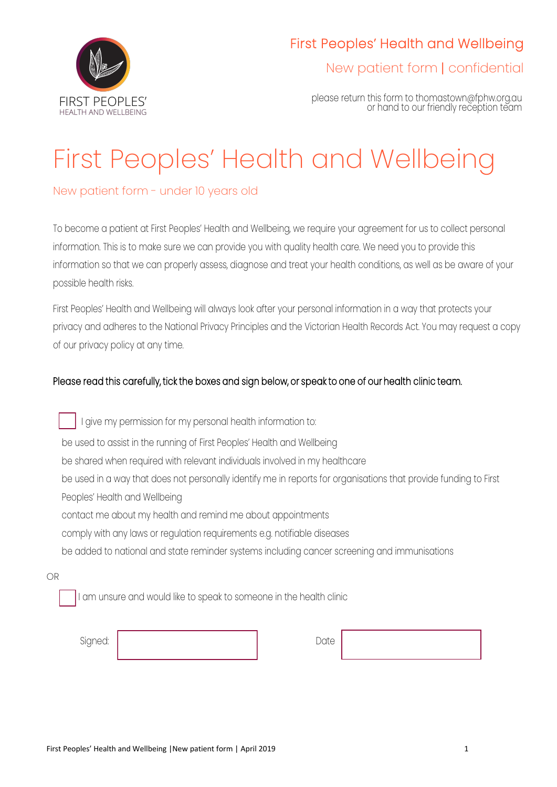

New patient form | confidential

please return this form to thomastown@fphw.org.au or hand to our friendly reception team

# First Peoples' Health and Wellbeing

## New patient form - under 10 years old

To become a patient at First Peoples' Health and Wellbeing, we require your agreement for us to collect personal information. This is to make sure we can provide you with quality health care. We need you to provide this information so that we can properly assess, diagnose and treat your health conditions, as well as be aware of your possible health risks.

First Peoples' Health and Wellbeing will always look after your personal information in a way that protects your privacy and adheres to the National Privacy Principles and the Victorian Health Records Act. You may request a copy of our privacy policy at any time.

### Please read this carefully, tick the boxes and sign below, or speak to one of our health clinic team.

 I give my permission for my personal health information to: be used to assist in the running of First Peoples' Health and Wellbeing be shared when required with relevant individuals involved in my healthcare be used in a way that does not personally identify me in reports for organisations that provide funding to First Peoples' Health and Wellbeing contact me about my health and remind me about appointments comply with any laws or regulation requirements e.g. notifiable diseases be added to national and state reminder systems including cancer screening and immunisations

OR

I am unsure and would like to speak to someone in the health clinic

Signed: Date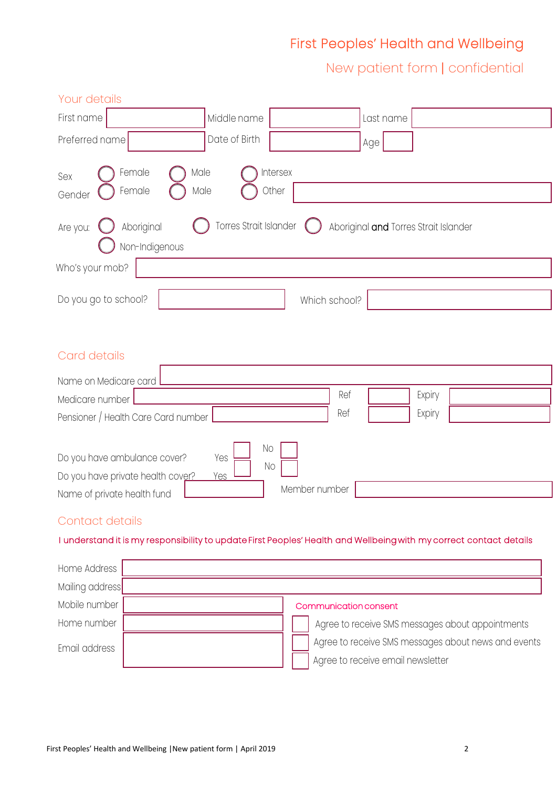New patient form | confidential

| Your details                                                                                                       |                           |               |           |                                       |  |
|--------------------------------------------------------------------------------------------------------------------|---------------------------|---------------|-----------|---------------------------------------|--|
| First name                                                                                                         | Middle name               |               | Last name |                                       |  |
| Preferred name                                                                                                     | Date of Birth             |               | Age       |                                       |  |
| Female<br>Male<br>Sex<br>Female<br>Gender                                                                          | Intersex<br>Other<br>Male |               |           |                                       |  |
| Aboriginal<br>Are you:<br>Non-Indigenous                                                                           | Torres Strait Islander    |               |           | Aboriginal and Torres Strait Islander |  |
| Who's your mob?                                                                                                    |                           |               |           |                                       |  |
| Do you go to school?                                                                                               |                           | Which school? |           |                                       |  |
| Card details                                                                                                       |                           |               |           |                                       |  |
| Name on Medicare card                                                                                              |                           |               |           |                                       |  |
| Medicare number                                                                                                    |                           | Ref           |           | Expiry                                |  |
| Pensioner / Health Care Card number                                                                                |                           | Ref           |           | Expiry                                |  |
| Do you have ambulance cover?<br>Do you have private health cover?<br>Name of private health fund                   | No<br>Yes<br>No<br>Yes    | Member number |           |                                       |  |
| Contact details                                                                                                    |                           |               |           |                                       |  |
| I understand it is my responsibility to update First Peoples' Health and Wellbeing with my correct contact details |                           |               |           |                                       |  |

| Home Address    |                                                     |
|-----------------|-----------------------------------------------------|
| Mailing address |                                                     |
| Mobile number   | Communication consent                               |
| Home number     | Agree to receive SMS messages about appointments    |
| Email address   | Agree to receive SMS messages about news and events |
|                 | Agree to receive email newsletter                   |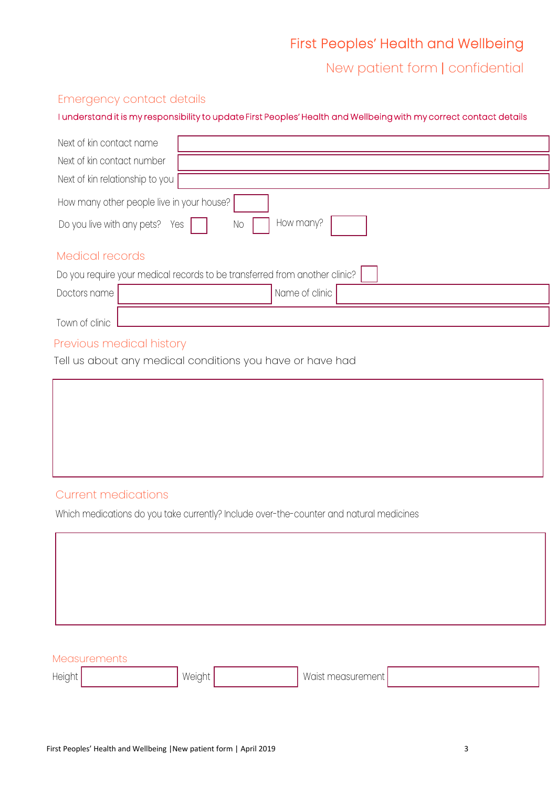New patient form | confidential

#### Emergency contact details

#### I understand it is my responsibility to update First Peoples' Health and Wellbeing with my correct contact details

| Next of kin contact name                                                   |
|----------------------------------------------------------------------------|
| Next of kin contact number                                                 |
| Next of kin relationship to you                                            |
| How many other people live in your house?                                  |
| How many?<br>Do you live with any pets?<br>No<br>Yes                       |
| Medical records                                                            |
| Do you require your medical records to be transferred from another clinic? |
| Name of clinic<br>Doctors name                                             |
| Town of clinic                                                             |

## Previous medical history

Tell us about any medical conditions you have or have had

#### Current medications

Which medications do you take currently? Include over-the-counter and natural medicines

| Measurements        |        |  |                   |  |  |
|---------------------|--------|--|-------------------|--|--|
| Height <sub>1</sub> | Weight |  | Waist measurement |  |  |